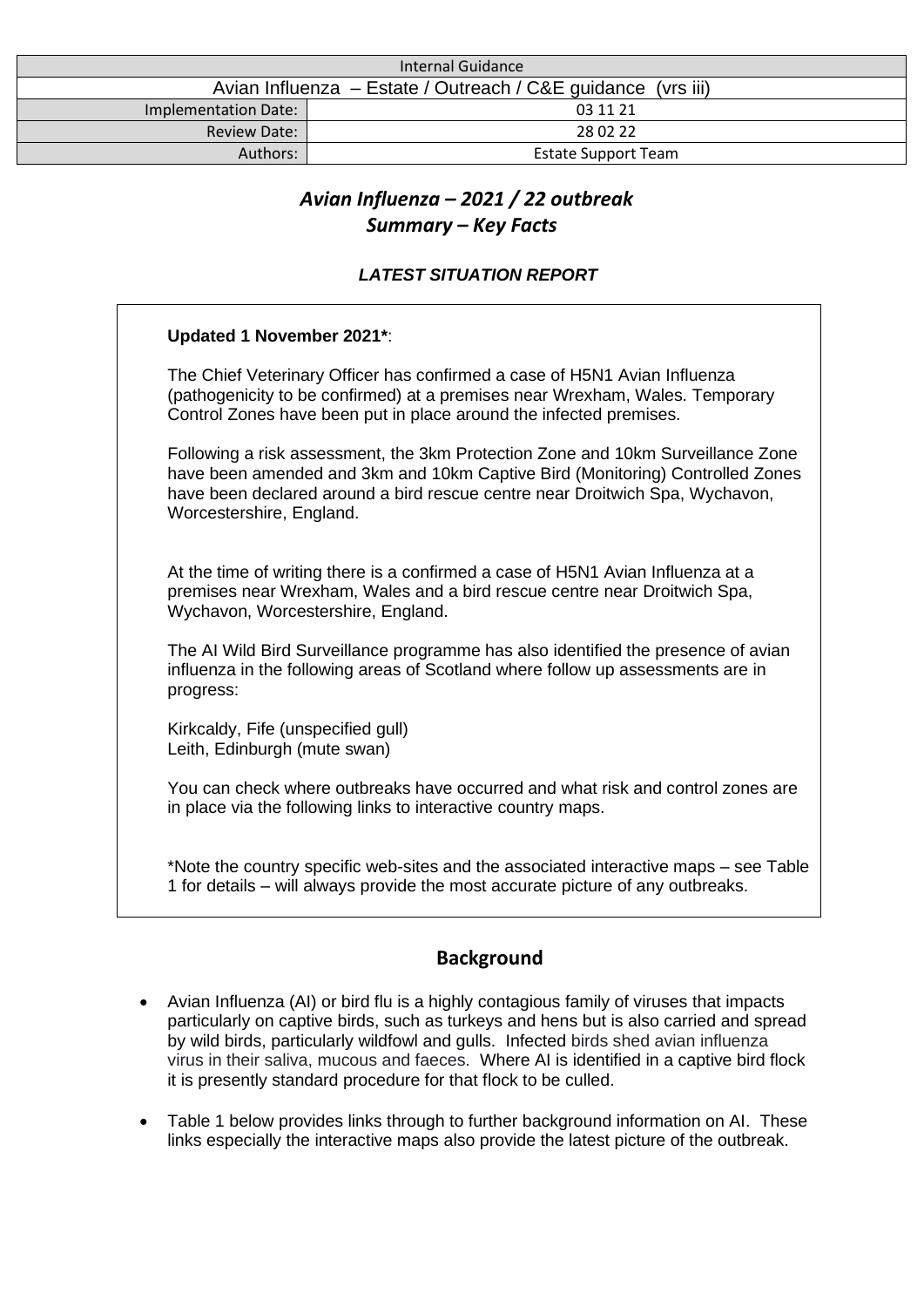| Internal Guidance                                            |                            |
|--------------------------------------------------------------|----------------------------|
| Avian Influenza – Estate / Outreach / C&E guidance (vrs iii) |                            |
| Implementation Date:                                         | 03 11 21                   |
| <b>Review Date:</b>                                          | 28 02 22                   |
| Authors:                                                     | <b>Estate Support Team</b> |

# *Avian Influenza – 2021 / 22 outbreak Summary – Key Facts*

# *LATEST SITUATION REPORT*

| <b>Updated 1 November 2021*:</b>                                                                                                                                                                                                                                             |
|------------------------------------------------------------------------------------------------------------------------------------------------------------------------------------------------------------------------------------------------------------------------------|
| The Chief Veterinary Officer has confirmed a case of H5N1 Avian Influenza<br>(pathogenicity to be confirmed) at a premises near Wrexham, Wales. Temporary<br>Control Zones have been put in place around the infected premises.                                              |
| Following a risk assessment, the 3km Protection Zone and 10km Surveillance Zone<br>have been amended and 3km and 10km Captive Bird (Monitoring) Controlled Zones<br>have been declared around a bird rescue centre near Droitwich Spa, Wychavon,<br>Worcestershire, England. |
| At the time of writing there is a confirmed a case of H5N1 Avian Influenza at a<br>premises near Wrexham, Wales and a bird rescue centre near Droitwich Spa,<br>Wychavon, Worcestershire, England.                                                                           |
| The AI Wild Bird Surveillance programme has also identified the presence of avian<br>influenza in the following areas of Scotland where follow up assessments are in<br>progress:                                                                                            |
| Kirkcaldy, Fife (unspecified gull)<br>Leith, Edinburgh (mute swan)                                                                                                                                                                                                           |
| You can check where outbreaks have occurred and what risk and control zones are<br>in place via the following links to interactive country maps.                                                                                                                             |
| *Note the country specific web-sites and the associated interactive maps – see Table<br>1 for details – will always provide the most accurate picture of any outbreaks.                                                                                                      |

# **Background**

- Avian Influenza (AI) or bird flu is a highly contagious family of viruses that impacts particularly on captive birds, such as turkeys and hens but is also carried and spread by wild birds, particularly wildfowl and gulls. Infected birds shed avian influenza virus in their saliva, mucous and faeces. Where AI is identified in a captive bird flock it is presently standard procedure for that flock to be culled.
- Table 1 below provides links through to further background information on AI. These links especially the interactive maps also provide the latest picture of the outbreak.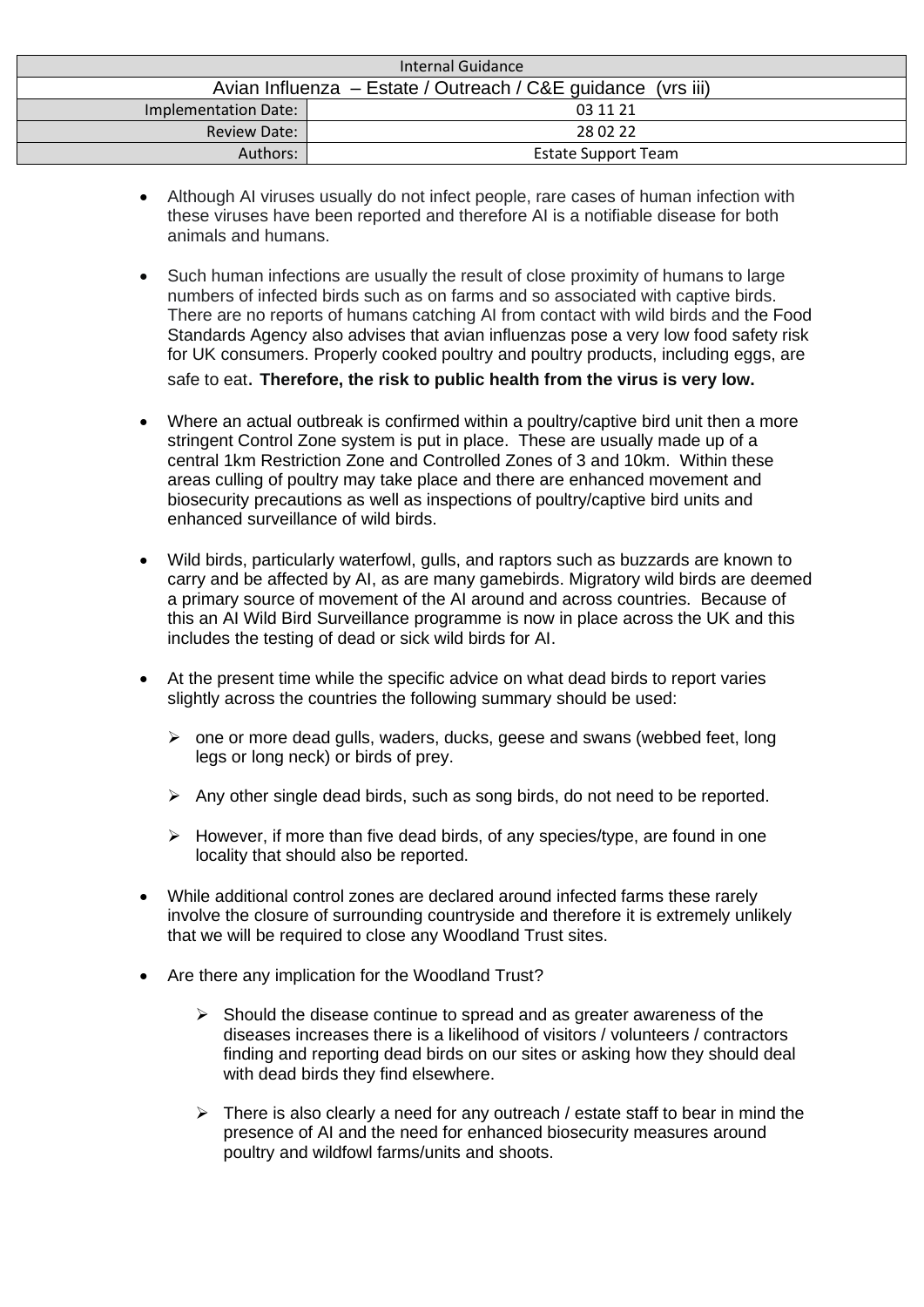| Internal Guidance                                            |                            |  |
|--------------------------------------------------------------|----------------------------|--|
| Avian Influenza – Estate / Outreach / C&E guidance (vrs iii) |                            |  |
| <b>Implementation Date:</b>                                  | 03 11 21                   |  |
| <b>Review Date:</b>                                          | 28 02 22                   |  |
| Authors:                                                     | <b>Estate Support Team</b> |  |

- Although AI viruses usually do not infect people, rare cases of human infection with these viruses have been reported and therefore AI is a notifiable disease for both animals and humans.
- Such human infections are usually the result of close proximity of humans to large numbers of infected birds such as on farms and so associated with captive birds. There are no reports of humans catching AI from contact with wild birds and the Food Standards Agency also advises that avian influenzas pose a very low food safety risk for UK consumers. Properly cooked poultry and poultry products, including eggs, are safe to eat. **Therefore, the risk to public health from the virus is very low.**
- Where an actual outbreak is confirmed within a poultry/captive bird unit then a more stringent Control Zone system is put in place. These are usually made up of a central 1km Restriction Zone and Controlled Zones of 3 and 10km. Within these areas culling of poultry may take place and there are enhanced movement and biosecurity precautions as well as inspections of poultry/captive bird units and enhanced surveillance of wild birds.
- Wild birds, particularly waterfowl, gulls, and raptors such as buzzards are known to carry and be affected by AI, as are many gamebirds. Migratory wild birds are deemed a primary source of movement of the AI around and across countries. Because of this an AI Wild Bird Surveillance programme is now in place across the UK and this includes the testing of dead or sick wild birds for AI.
- At the present time while the specific advice on what dead birds to report varies slightly across the countries the following summary should be used:
	- ➢ one or more dead gulls, waders, ducks, geese and swans (webbed feet, long legs or long neck) or birds of prey.
	- $\triangleright$  Any other single dead birds, such as song birds, do not need to be reported.
	- $\triangleright$  However, if more than five dead birds, of any species/type, are found in one locality that should also be reported.
- While additional control zones are declared around infected farms these rarely involve the closure of surrounding countryside and therefore it is extremely unlikely that we will be required to close any Woodland Trust sites.
- Are there any implication for the Woodland Trust?
	- ➢ Should the disease continue to spread and as greater awareness of the diseases increases there is a likelihood of visitors / volunteers / contractors finding and reporting dead birds on our sites or asking how they should deal with dead birds they find elsewhere.
	- $\triangleright$  There is also clearly a need for any outreach / estate staff to bear in mind the presence of AI and the need for enhanced biosecurity measures around poultry and wildfowl farms/units and shoots.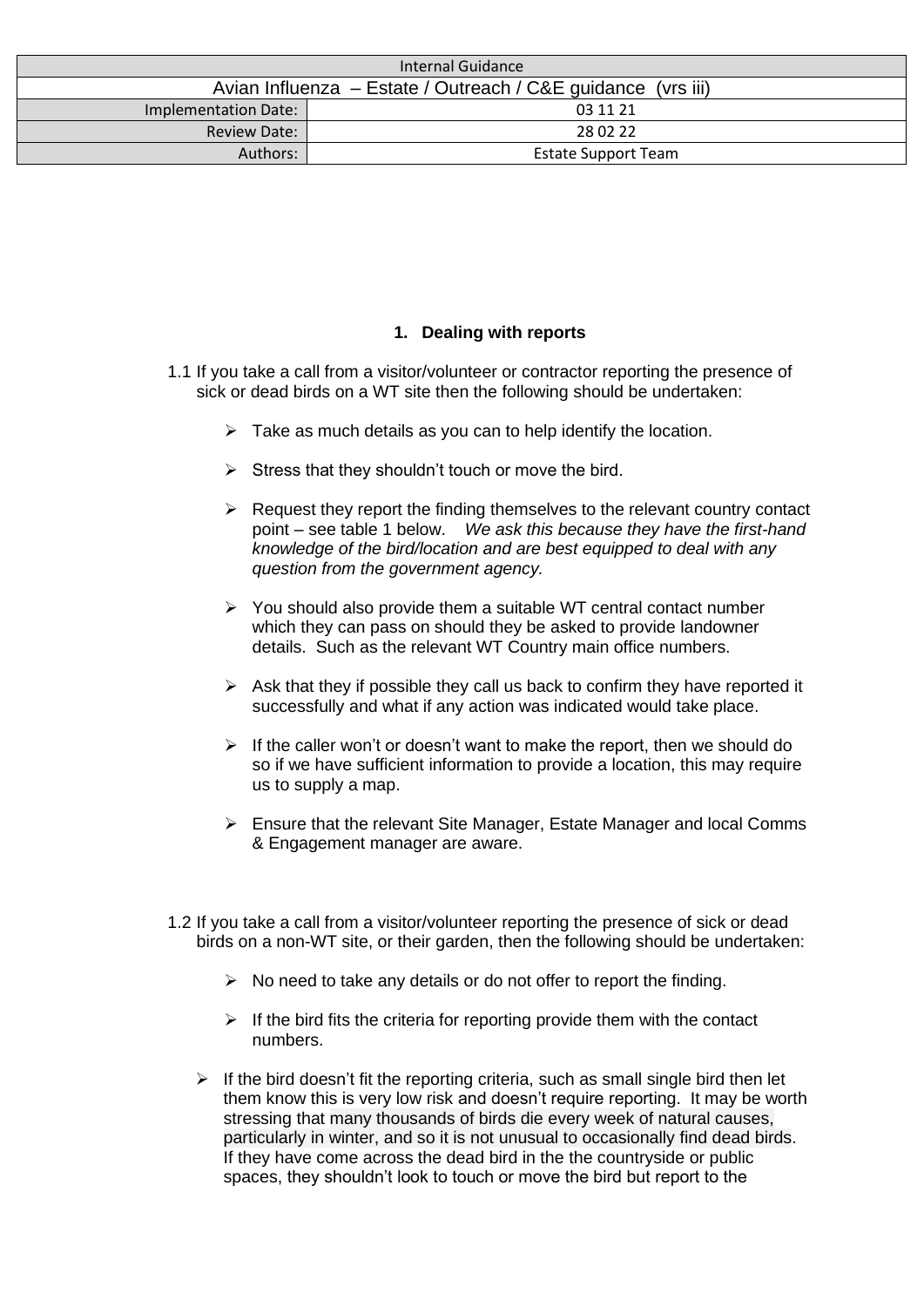| Internal Guidance                                            |                            |
|--------------------------------------------------------------|----------------------------|
| Avian Influenza – Estate / Outreach / C&E guidance (vrs iii) |                            |
| <b>Implementation Date:</b>                                  | 03 11 21                   |
| <b>Review Date:</b>                                          | 28 02 22                   |
| Authors:                                                     | <b>Estate Support Team</b> |

## **1. Dealing with reports**

- 1.1 If you take a call from a visitor/volunteer or contractor reporting the presence of sick or dead birds on a WT site then the following should be undertaken:
	- $\triangleright$  Take as much details as you can to help identify the location.
	- $\triangleright$  Stress that they shouldn't touch or move the bird.
	- $\triangleright$  Request they report the finding themselves to the relevant country contact point – see table 1 below. *We ask this because they have the first-hand knowledge of the bird/location and are best equipped to deal with any question from the government agency.*
	- ➢ You should also provide them a suitable WT central contact number which they can pass on should they be asked to provide landowner details. Such as the relevant WT Country main office numbers.
	- $\triangleright$  Ask that they if possible they call us back to confirm they have reported it successfully and what if any action was indicated would take place.
	- $\triangleright$  If the caller won't or doesn't want to make the report, then we should do so if we have sufficient information to provide a location, this may require us to supply a map.
	- $\triangleright$  Ensure that the relevant Site Manager, Estate Manager and local Comms & Engagement manager are aware.
- 1.2 If you take a call from a visitor/volunteer reporting the presence of sick or dead birds on a non-WT site, or their garden, then the following should be undertaken:
	- $\triangleright$  No need to take any details or do not offer to report the finding.
	- $\triangleright$  If the bird fits the criteria for reporting provide them with the contact numbers.
	- $\triangleright$  If the bird doesn't fit the reporting criteria, such as small single bird then let them know this is very low risk and doesn't require reporting. It may be worth stressing that many thousands of birds die every week of natural causes, particularly in winter, and so it is not unusual to occasionally find dead birds. If they have come across the dead bird in the the countryside or public spaces, they shouldn't look to touch or move the bird but report to the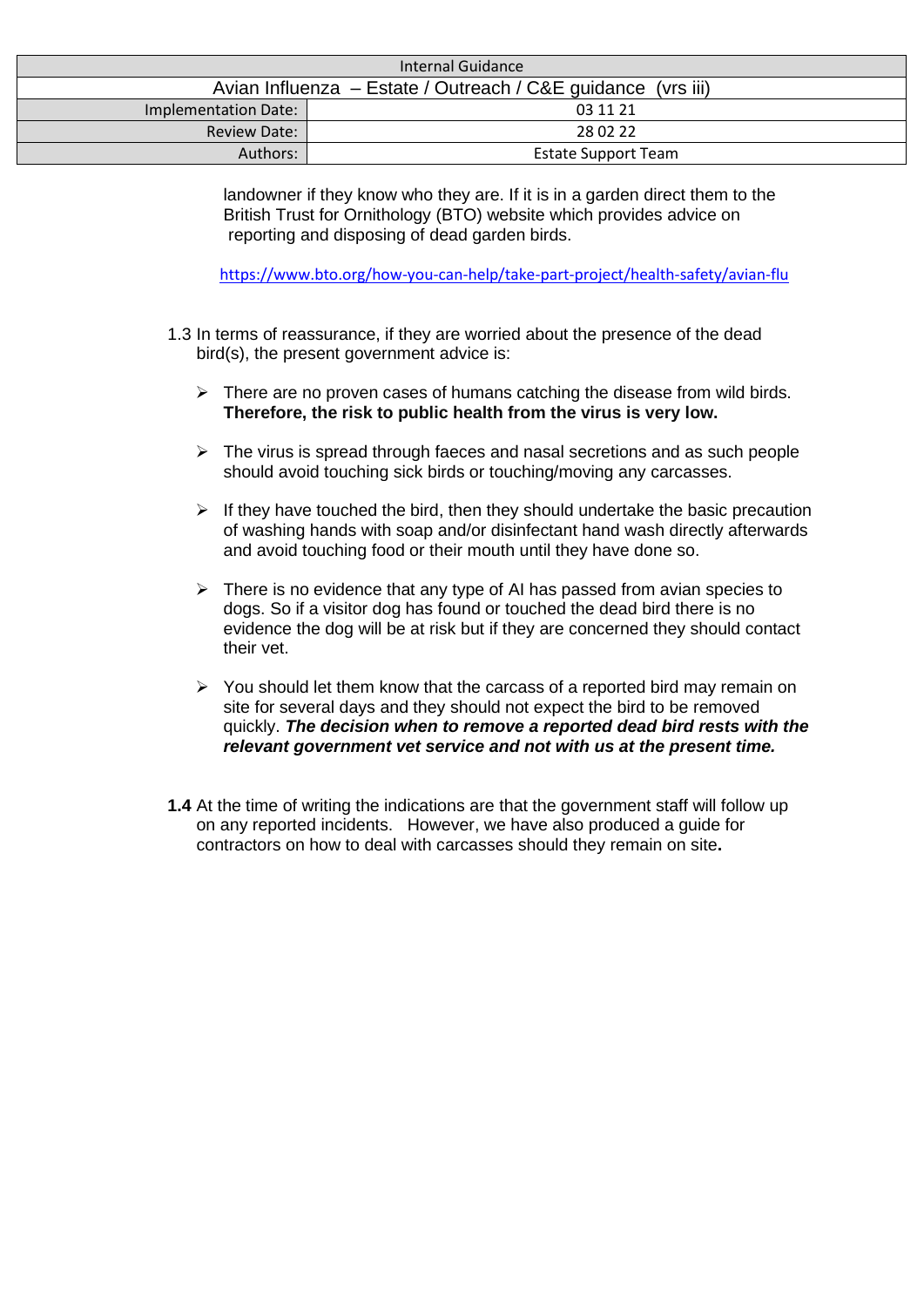| Internal Guidance                                            |                            |
|--------------------------------------------------------------|----------------------------|
| Avian Influenza – Estate / Outreach / C&E guidance (vrs iii) |                            |
| Implementation Date:                                         | 03 11 21                   |
| <b>Review Date:</b>                                          | 28 02 22                   |
| Authors:                                                     | <b>Estate Support Team</b> |

landowner if they know who they are. If it is in a garden direct them to the British Trust for Ornithology (BTO) website which provides advice on reporting and disposing of dead garden birds.

<https://www.bto.org/how-you-can-help/take-part-project/health-safety/avian-flu>

- 1.3 In terms of reassurance, if they are worried about the presence of the dead bird(s), the present government advice is:
	- $\triangleright$  There are no proven cases of humans catching the disease from wild birds. **Therefore, the risk to public health from the virus is very low.**
	- $\triangleright$  The virus is spread through faeces and nasal secretions and as such people should avoid touching sick birds or touching/moving any carcasses.
	- $\triangleright$  If they have touched the bird, then they should undertake the basic precaution of washing hands with soap and/or disinfectant hand wash directly afterwards and avoid touching food or their mouth until they have done so.
	- $\triangleright$  There is no evidence that any type of AI has passed from avian species to dogs. So if a visitor dog has found or touched the dead bird there is no evidence the dog will be at risk but if they are concerned they should contact their vet.
	- ➢ You should let them know that the carcass of a reported bird may remain on site for several days and they should not expect the bird to be removed quickly. *The decision when to remove a reported dead bird rests with the relevant government vet service and not with us at the present time.*
- **1.4** At the time of writing the indications are that the government staff will follow up on any reported incidents. However, we have also produced a guide for contractors on how to deal with carcasses should they remain on site**.**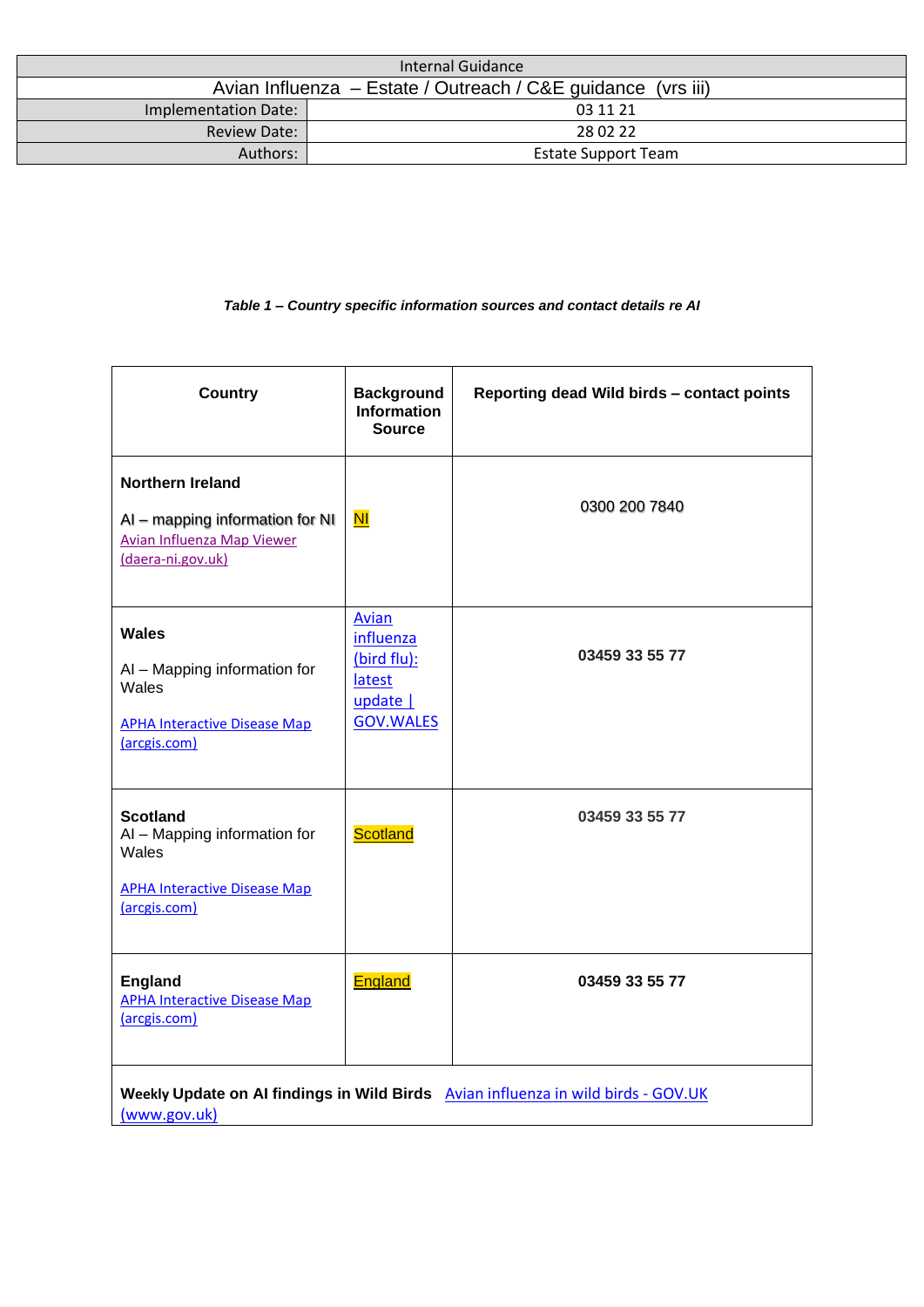| Internal Guidance                                            |                            |
|--------------------------------------------------------------|----------------------------|
| Avian Influenza – Estate / Outreach / C&E guidance (vrs iii) |                            |
| Implementation Date:                                         | 03 11 21                   |
| <b>Review Date:</b>                                          | 28 02 22                   |
| Authors:                                                     | <b>Estate Support Team</b> |

#### *Table 1 – Country specific information sources and contact details re AI*

| <b>Country</b>                                                                                                       | <b>Background</b><br><b>Information</b><br><b>Source</b>                    | Reporting dead Wild birds - contact points                                        |
|----------------------------------------------------------------------------------------------------------------------|-----------------------------------------------------------------------------|-----------------------------------------------------------------------------------|
| <b>Northern Ireland</b><br>AI - mapping information for NI<br><b>Avian Influenza Map Viewer</b><br>(daera-ni.gov.uk) | N <sub>1</sub>                                                              | 0300 200 7840                                                                     |
| Wales<br>AI - Mapping information for<br>Wales<br><b>APHA Interactive Disease Map</b><br>(arcgis.com)                | Avian<br>influenza<br>(bird flu):<br>latest<br>update  <br><b>GOV.WALES</b> | 03459 33 55 77                                                                    |
| <b>Scotland</b><br>AI - Mapping information for<br>Wales<br><b>APHA Interactive Disease Map</b><br>(arcgis.com)      | <b>Scotland</b>                                                             | 03459 33 55 77                                                                    |
| <b>England</b><br><b>APHA Interactive Disease Map</b><br>(arcgis.com)                                                | England                                                                     | 03459 33 55 77                                                                    |
| (www.gov.uk)                                                                                                         |                                                                             | Weekly Update on AI findings in Wild Birds Avian influenza in wild birds - GOV.UK |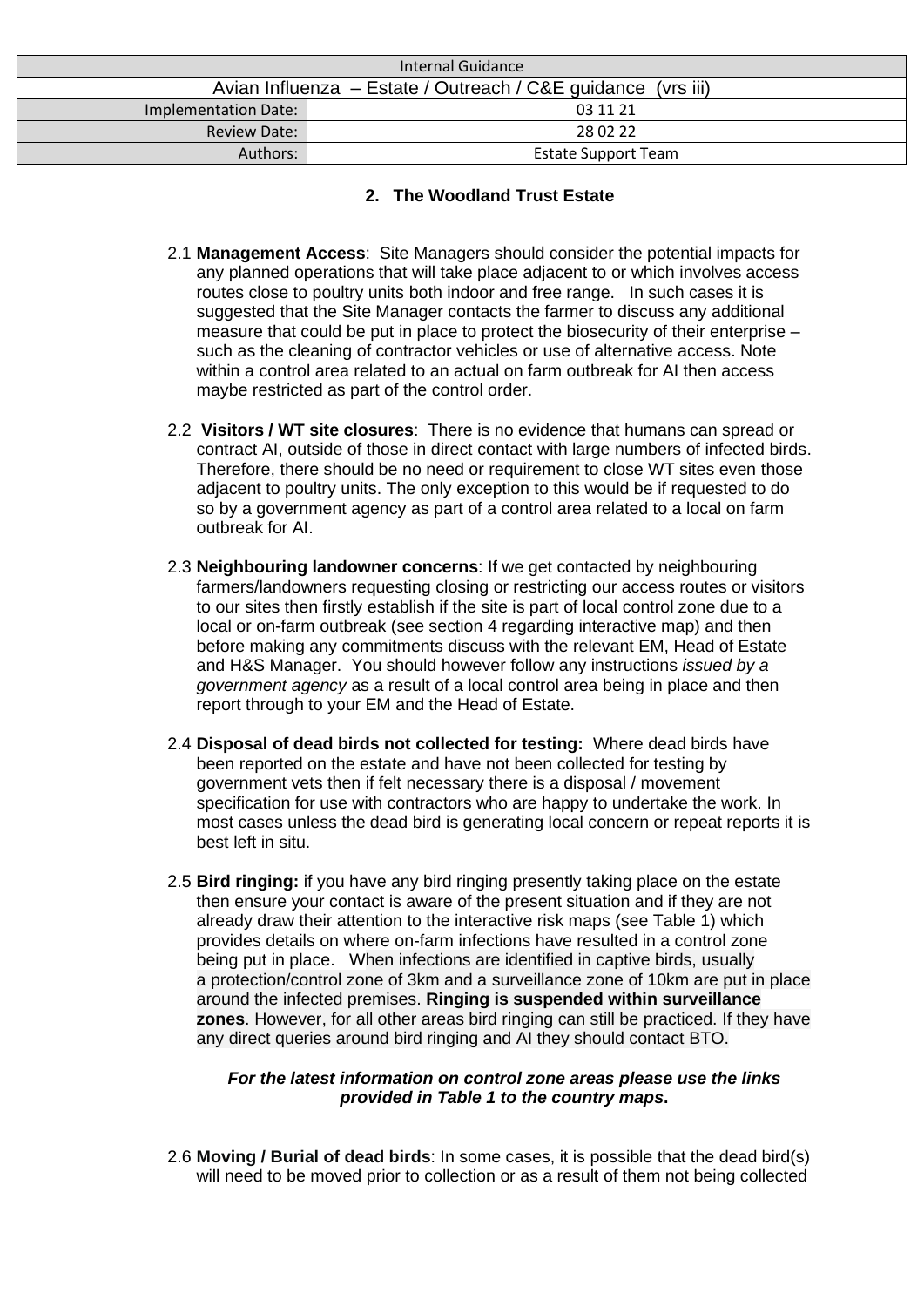| Internal Guidance                                            |                            |
|--------------------------------------------------------------|----------------------------|
| Avian Influenza – Estate / Outreach / C&E guidance (vrs iii) |                            |
| Implementation Date:                                         | 03 11 21                   |
| <b>Review Date:</b>                                          | 28 02 22                   |
| Authors:                                                     | <b>Estate Support Team</b> |

## **2. The Woodland Trust Estate**

- 2.1 **Management Access**: Site Managers should consider the potential impacts for any planned operations that will take place adjacent to or which involves access routes close to poultry units both indoor and free range. In such cases it is suggested that the Site Manager contacts the farmer to discuss any additional measure that could be put in place to protect the biosecurity of their enterprise – such as the cleaning of contractor vehicles or use of alternative access. Note within a control area related to an actual on farm outbreak for AI then access maybe restricted as part of the control order.
- 2.2 **Visitors / WT site closures**: There is no evidence that humans can spread or contract AI, outside of those in direct contact with large numbers of infected birds. Therefore, there should be no need or requirement to close WT sites even those adjacent to poultry units. The only exception to this would be if requested to do so by a government agency as part of a control area related to a local on farm outbreak for AI.
- 2.3 **Neighbouring landowner concerns**: If we get contacted by neighbouring farmers/landowners requesting closing or restricting our access routes or visitors to our sites then firstly establish if the site is part of local control zone due to a local or on-farm outbreak (see section 4 regarding interactive map) and then before making any commitments discuss with the relevant EM, Head of Estate and H&S Manager. You should however follow any instructions *issued by a government agency* as a result of a local control area being in place and then report through to your EM and the Head of Estate.
- 2.4 **Disposal of dead birds not collected for testing:** Where dead birds have been reported on the estate and have not been collected for testing by government vets then if felt necessary there is a disposal / movement specification for use with contractors who are happy to undertake the work. In most cases unless the dead bird is generating local concern or repeat reports it is best left in situ.
- 2.5 **Bird ringing:** if you have any bird ringing presently taking place on the estate then ensure your contact is aware of the present situation and if they are not already draw their attention to the interactive risk maps (see Table 1) which provides details on where on-farm infections have resulted in a control zone being put in place. When infections are identified in captive birds, usually a protection/control zone of 3km and a surveillance zone of 10km are put in place around the infected premises. **Ringing is suspended within surveillance zones**. However, for all other areas bird ringing can still be practiced. If they have any direct queries around bird ringing and AI they should contact BTO.

#### *For the latest information on control zone areas please use the links provided in Table 1 to the country maps***.**

2.6 **Moving / Burial of dead birds**: In some cases, it is possible that the dead bird(s) will need to be moved prior to collection or as a result of them not being collected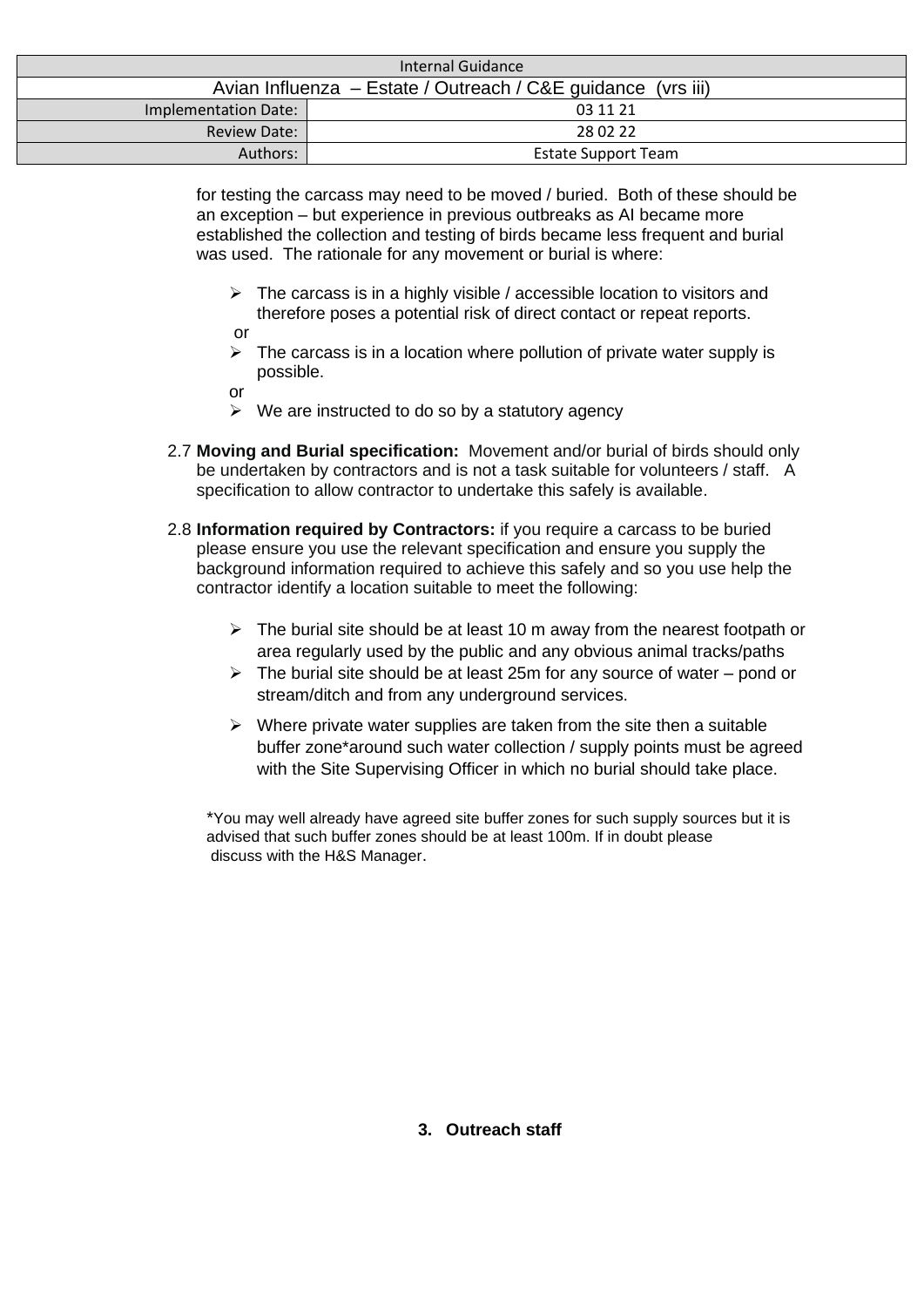| Internal Guidance                                            |                            |
|--------------------------------------------------------------|----------------------------|
| Avian Influenza – Estate / Outreach / C&E guidance (vrs iii) |                            |
| Implementation Date:                                         | 03 11 21                   |
| <b>Review Date:</b>                                          | 28 02 22                   |
| Authors:                                                     | <b>Estate Support Team</b> |

for testing the carcass may need to be moved / buried. Both of these should be an exception – but experience in previous outbreaks as AI became more established the collection and testing of birds became less frequent and burial was used. The rationale for any movement or burial is where:

- $\triangleright$  The carcass is in a highly visible / accessible location to visitors and therefore poses a potential risk of direct contact or repeat reports. or
- $\triangleright$  The carcass is in a location where pollution of private water supply is possible.
- or
- $\triangleright$  We are instructed to do so by a statutory agency
- 2.7 **Moving and Burial specification:** Movement and/or burial of birds should only be undertaken by contractors and is not a task suitable for volunteers / staff. A specification to allow contractor to undertake this safely is available.
- 2.8 **Information required by Contractors:** if you require a carcass to be buried please ensure you use the relevant specification and ensure you supply the background information required to achieve this safely and so you use help the contractor identify a location suitable to meet the following:
	- ➢ The burial site should be at least 10 m away from the nearest footpath or area regularly used by the public and any obvious animal tracks/paths
	- $\triangleright$  The burial site should be at least 25m for any source of water pond or stream/ditch and from any underground services.
	- $\triangleright$  Where private water supplies are taken from the site then a suitable buffer zone\*around such water collection / supply points must be agreed with the Site Supervising Officer in which no burial should take place.

 \*You may well already have agreed site buffer zones for such supply sources but it is advised that such buffer zones should be at least 100m. If in doubt please discuss with the H&S Manager.

#### **3. Outreach staff**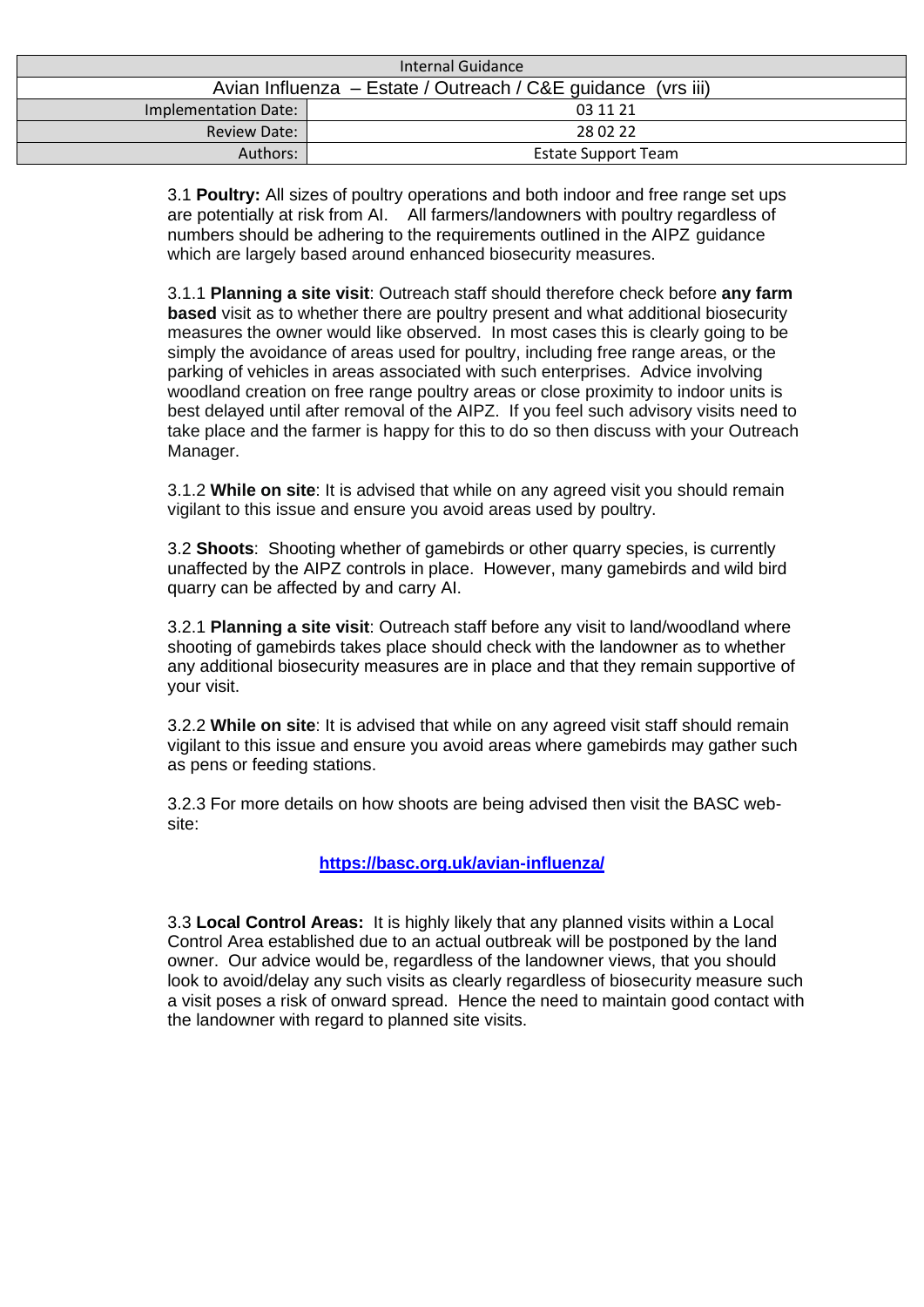| Internal Guidance                                            |                            |
|--------------------------------------------------------------|----------------------------|
| Avian Influenza – Estate / Outreach / C&E guidance (vrs iii) |                            |
| Implementation Date:                                         | 03 11 21                   |
| <b>Review Date:</b>                                          | 28 02 22                   |
| Authors:                                                     | <b>Estate Support Team</b> |

3.1 **Poultry:** All sizes of poultry operations and both indoor and free range set ups are potentially at risk from AI. All farmers/landowners with poultry regardless of numbers should be adhering to the requirements outlined in the AIPZ guidance which are largely based around enhanced biosecurity measures.

3.1.1 **Planning a site visit**: Outreach staff should therefore check before **any farm based** visit as to whether there are poultry present and what additional biosecurity measures the owner would like observed. In most cases this is clearly going to be simply the avoidance of areas used for poultry, including free range areas, or the parking of vehicles in areas associated with such enterprises. Advice involving woodland creation on free range poultry areas or close proximity to indoor units is best delayed until after removal of the AIPZ. If you feel such advisory visits need to take place and the farmer is happy for this to do so then discuss with your Outreach Manager.

3.1.2 **While on site**: It is advised that while on any agreed visit you should remain vigilant to this issue and ensure you avoid areas used by poultry.

3.2 **Shoots**: Shooting whether of gamebirds or other quarry species, is currently unaffected by the AIPZ controls in place. However, many gamebirds and wild bird quarry can be affected by and carry AI.

3.2.1 **Planning a site visit**: Outreach staff before any visit to land/woodland where shooting of gamebirds takes place should check with the landowner as to whether any additional biosecurity measures are in place and that they remain supportive of your visit.

3.2.2 **While on site**: It is advised that while on any agreed visit staff should remain vigilant to this issue and ensure you avoid areas where gamebirds may gather such as pens or feeding stations.

3.2.3 For more details on how shoots are being advised then visit the BASC website:

#### **<https://basc.org.uk/avian-influenza/>**

3.3 **Local Control Areas:** It is highly likely that any planned visits within a Local Control Area established due to an actual outbreak will be postponed by the land owner. Our advice would be, regardless of the landowner views, that you should look to avoid/delay any such visits as clearly regardless of biosecurity measure such a visit poses a risk of onward spread. Hence the need to maintain good contact with the landowner with regard to planned site visits.